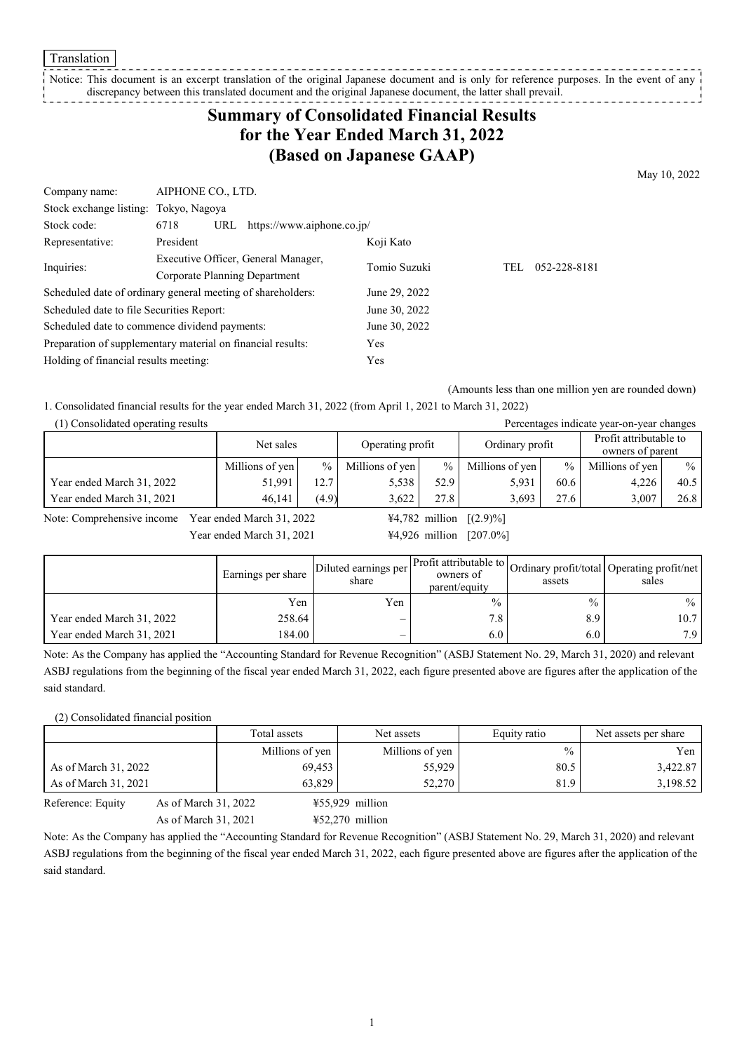Translation

### Notice: This document is an excerpt translation of the original Japanese document and is only for reference purposes. In the event of any discrepancy between this translated document and the original Japanese document, the latter shall prevail.

# **Summary of Consolidated Financial Results for the Year Ended March 31, 2022 (Based on Japanese GAAP)**

May 10, 2022

| Company name:                                               |                                     | AIPHONE CO., LTD. |                            |               |     |              |
|-------------------------------------------------------------|-------------------------------------|-------------------|----------------------------|---------------|-----|--------------|
| Stock exchange listing: Tokyo, Nagoya                       |                                     |                   |                            |               |     |              |
| Stock code:                                                 | 6718                                | URL               | https://www.aiphone.co.jp/ |               |     |              |
| Representative:                                             | President                           |                   |                            | Koji Kato     |     |              |
| Inquiries:                                                  | Executive Officer, General Manager, |                   |                            | Tomio Suzuki  | TEL | 052-228-8181 |
|                                                             | Corporate Planning Department       |                   |                            |               |     |              |
| Scheduled date of ordinary general meeting of shareholders: |                                     |                   | June 29, 2022              |               |     |              |
| Scheduled date to file Securities Report:                   |                                     |                   |                            | June 30, 2022 |     |              |
| Scheduled date to commence dividend payments:               |                                     |                   | June 30, 2022              |               |     |              |
| Preparation of supplementary material on financial results: |                                     |                   | Yes                        |               |     |              |
| Holding of financial results meeting:                       |                                     |                   | Yes                        |               |     |              |

(Amounts less than one million yen are rounded down)

1. Consolidated financial results for the year ended March 31, 2022 (from April 1, 2021 to March 31, 2022)

| (1) Consolidated operating results |                 |       |                  |               |                 |               | Percentages indicate year-on-year changes |               |
|------------------------------------|-----------------|-------|------------------|---------------|-----------------|---------------|-------------------------------------------|---------------|
|                                    | Net sales       |       | Operating profit |               | Ordinary profit |               | Profit attributable to                    |               |
|                                    |                 |       |                  |               |                 |               | owners of parent                          |               |
|                                    | Millions of yen | $\%$  | Millions of yen  | $\frac{0}{0}$ | Millions of yen | $\frac{0}{0}$ | Millions of yen                           | $\frac{0}{0}$ |
| Year ended March 31, 2022          | 51.991          | 12.7  | 5.538            | 52.9          | 5,931           | 60.6          | 4.226                                     | 40.5          |
| Year ended March 31, 2021          | 46,141          | (4.9) | 3.622            | 27.8          | 3.693           | 27.6          | 3.007                                     | 26.8          |

Note: Comprehensive income Year ended March 31, 2022  $\frac{\frac{1}{4}4,782 \text{ million}}{2.99\%}$ 

Year ended March 31, 2021 44,926 million [207.0%]

|                           | <b>Earnings per share</b> | Diluted earnings per<br>share | owners of<br>parent/equity | assets        | Profit attributable to Ordinary profit/total Operating profit/net'<br>sales |
|---------------------------|---------------------------|-------------------------------|----------------------------|---------------|-----------------------------------------------------------------------------|
|                           | Yen                       | Yen                           | $\frac{0}{0}$              | $\frac{0}{0}$ | $\%$                                                                        |
| Year ended March 31, 2022 | 258.64                    | –                             | 7.8                        | 8.9           | 10.7                                                                        |
| Year ended March 31, 2021 | 184.00                    | $\overline{\phantom{0}}$      | 6.0                        | 6.0           | 7.9                                                                         |

Note: As the Company has applied the "Accounting Standard for Revenue Recognition" (ASBJ Statement No. 29, March 31, 2020) and relevant ASBJ regulations from the beginning of the fiscal year ended March 31, 2022, each figure presented above are figures after the application of the said standard.

#### (2) Consolidated financial position

|                                           | Total assets    | Net assets        | Equity ratio | Net assets per share |
|-------------------------------------------|-----------------|-------------------|--------------|----------------------|
|                                           | Millions of yen | Millions of yen   | $\%$         | Yen 1                |
| As of March 31, 2022                      | 69,453          | 55,929            | 80.5         | 3,422.87             |
| As of March 31, 2021                      | 63.829          | 52,270            | 81.9         | 3,198.52             |
| As of March 31, 2022<br>Reference: Equity |                 | $455,929$ million |              |                      |

As of March 31, 2021 ¥52,270 million

Note: As the Company has applied the "Accounting Standard for Revenue Recognition" (ASBJ Statement No. 29, March 31, 2020) and relevant ASBJ regulations from the beginning of the fiscal year ended March 31, 2022, each figure presented above are figures after the application of the said standard.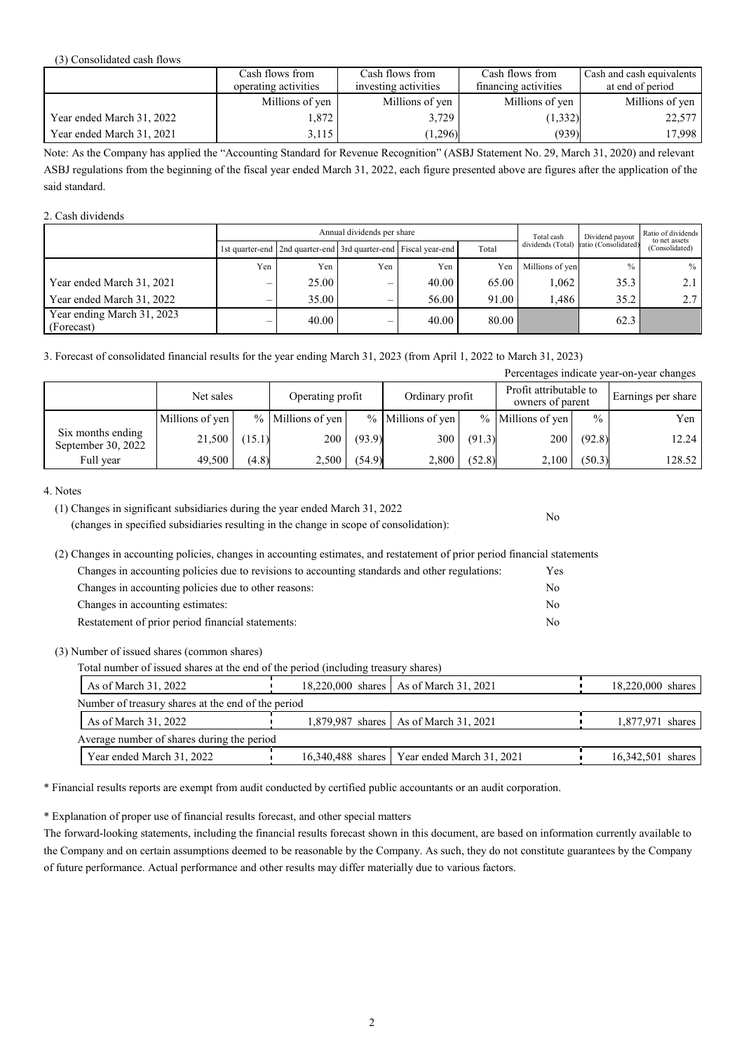#### (3) Consolidated cash flows

|                           | Cash flows from      | Cash flows from      | Cash flows from      | Cash and cash equivalents |
|---------------------------|----------------------|----------------------|----------------------|---------------------------|
|                           | operating activities | investing activities | financing activities | at end of period          |
|                           | Millions of yen      | Millions of yen      | Millions of yen      | Millions of yen           |
| Year ended March 31, 2022 | .872                 | 3.729                | (1, 332)             | 22,577                    |
| Year ended March 31, 2021 | 3,115                | (1,296)              | (939)                | 17,998                    |

Note: As the Company has applied the "Accounting Standard for Revenue Recognition" (ASBJ Statement No. 29, March 31, 2020) and relevant ASBJ regulations from the beginning of the fiscal year ended March 31, 2022, each figure presented above are figures after the application of the said standard.

### 2. Cash dividends

|                                          |     | Annual dividends per share |     |                                                                 |       |                   | Dividend payout      | Ratio of dividends<br>to net assets |
|------------------------------------------|-----|----------------------------|-----|-----------------------------------------------------------------|-------|-------------------|----------------------|-------------------------------------|
|                                          |     |                            |     | 1st quarter-end 2nd quarter-end 3rd quarter-end Fiscal year-end | Total | dividends (Total) | ratio (Consolidated) | (Consolidated)                      |
|                                          | Yen | Yen                        | Yen | Yen                                                             | Yen   | Millions of ven   | $\frac{0}{0}$        | $\%$                                |
| Year ended March 31, 2021                | –   | 25.00                      |     | 40.00                                                           | 65.00 | 1.062             | 35.3                 |                                     |
| Year ended March 31, 2022                |     | 35.00                      | —   | 56.00                                                           | 91.00 | 1.486             | 35.2                 | 2.7                                 |
| Year ending March 31, 2023<br>(Forecast) | —   | 40.00                      | —   | 40.00                                                           | 80.00 |                   | 62.3                 |                                     |

3. Forecast of consolidated financial results for the year ending March 31, 2023 (from April 1, 2022 to March 31, 2023)

|                                         |                 |        |                   |        |                     |        |                                            |               | Percentages indicate year-on-year changes |
|-----------------------------------------|-----------------|--------|-------------------|--------|---------------------|--------|--------------------------------------------|---------------|-------------------------------------------|
|                                         | Net sales       |        | Operating profit  |        | Ordinary profit     |        | Profit attributable to<br>owners of parent |               | Earnings per share                        |
|                                         | Millions of yen |        | % Millions of yen |        | $%$ Millions of yen |        | $%$ Millions of yen                        | $\frac{0}{0}$ | Yen                                       |
| Six months ending<br>September 30, 2022 | 21,500          | (15.1) | 200               | (93.9) | 300                 | (91.3) | 200                                        | (92.8)        | 12.24                                     |
| Full year                               | 49,500          | (4.8)  | 2,500             | (54.9) | 2,800               | (52.8) | 2,100                                      | (50.3)        | 128.52                                    |

#### 4. Notes

(1) Changes in significant subsidiaries during the year ended March 31, 2022 (changes in specified subsidiaries resulting in the change in scope of consolidation):

(2) Changes in accounting policies, changes in accounting estimates, and restatement of prior period financial statements Changes in accounting policies due to revisions to accounting standards and other regulations: Yes Changes in accounting policies due to other reasons: No Changes in accounting estimates: No Restatement of prior period financial statements: No

(3) Number of issued shares (common shares)

Total number of issued shares at the end of the period (including treasury shares)

|                                            | As of March 31, 2022                               | 18,220,000 shares   As of March 31, 2021      | 18,220,000 shares |
|--------------------------------------------|----------------------------------------------------|-----------------------------------------------|-------------------|
|                                            | Number of treasury shares at the end of the period |                                               |                   |
|                                            | As of March 31, 2022                               | 1,879,987 shares   As of March 31, 2021       | 1,877,971 shares  |
| Average number of shares during the period |                                                    |                                               |                   |
|                                            | Year ended March 31, 2022                          | 16,340,488 shares   Year ended March 31, 2021 | 16,342,501 shares |

\* Financial results reports are exempt from audit conducted by certified public accountants or an audit corporation.

\* Explanation of proper use of financial results forecast, and other special matters

The forward-looking statements, including the financial results forecast shown in this document, are based on information currently available to the Company and on certain assumptions deemed to be reasonable by the Company. As such, they do not constitute guarantees by the Company of future performance. Actual performance and other results may differ materially due to various factors.

No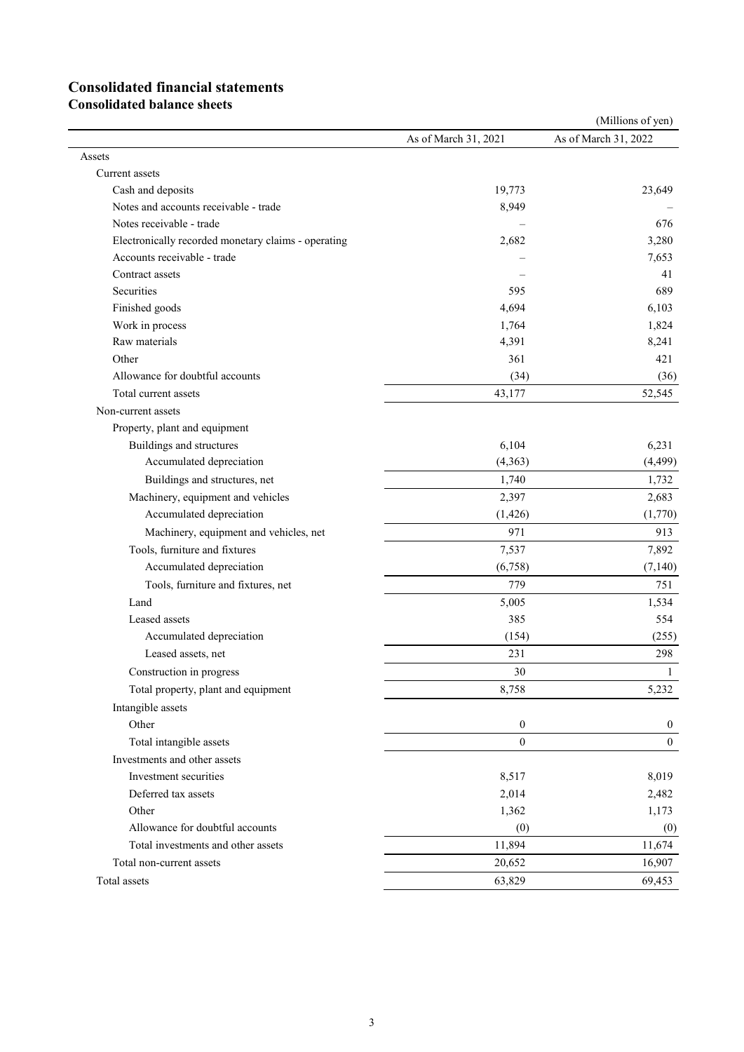# **Consolidated financial statements**

**Consolidated balance sheets**

|                                                       |                      | (Millions of yen)    |
|-------------------------------------------------------|----------------------|----------------------|
|                                                       | As of March 31, 2021 | As of March 31, 2022 |
| Assets                                                |                      |                      |
| Current assets                                        |                      |                      |
| Cash and deposits                                     | 19,773               | 23,649               |
| Notes and accounts receivable - trade                 | 8,949                |                      |
| Notes receivable - trade                              |                      | 676                  |
| Electronically recorded monetary claims - operating   | 2,682                | 3,280                |
| Accounts receivable - trade                           |                      | 7,653                |
| Contract assets                                       |                      | 41                   |
| Securities                                            | 595                  | 689                  |
| Finished goods                                        | 4,694                | 6,103                |
| Work in process                                       | 1,764                | 1,824                |
| Raw materials                                         | 4,391                | 8,241                |
| Other                                                 | 361                  | 421                  |
| Allowance for doubtful accounts                       | (34)                 | (36)                 |
| Total current assets                                  | 43,177               | 52,545               |
| Non-current assets                                    |                      |                      |
| Property, plant and equipment                         |                      |                      |
| Buildings and structures                              | 6,104                | 6,231                |
| Accumulated depreciation                              | (4,363)              | (4, 499)             |
| Buildings and structures, net                         | 1,740                | 1,732                |
| Machinery, equipment and vehicles                     | 2,397                | 2,683                |
| Accumulated depreciation                              | (1, 426)             | (1,770)              |
| Machinery, equipment and vehicles, net                | 971                  | 913                  |
| Tools, furniture and fixtures                         | 7,537                | 7,892                |
| Accumulated depreciation                              | (6,758)              | (7, 140)             |
| Tools, furniture and fixtures, net                    | 779                  | 751                  |
| Land                                                  | 5,005                | 1,534                |
| Leased assets                                         | 385                  | 554                  |
| Accumulated depreciation                              | (154)                | (255)                |
| Leased assets, net                                    | 231                  | 298                  |
| Construction in progress                              | 30                   | $\perp$              |
| Total property, plant and equipment                   | 8,758                | 5,232                |
| Intangible assets                                     |                      |                      |
| Other                                                 | $\boldsymbol{0}$     | $\mathbf{0}$         |
| Total intangible assets                               | $\overline{0}$       | $\mathbf{0}$         |
|                                                       |                      |                      |
| Investments and other assets<br>Investment securities |                      |                      |
|                                                       | 8,517                | 8,019                |
| Deferred tax assets<br>Other                          | 2,014<br>1,362       | 2,482                |
|                                                       |                      | 1,173                |
| Allowance for doubtful accounts                       | (0)                  | (0)                  |
| Total investments and other assets                    | 11,894               | 11,674               |
| Total non-current assets                              | 20,652               | 16,907               |
| Total assets                                          | 63,829               | 69,453               |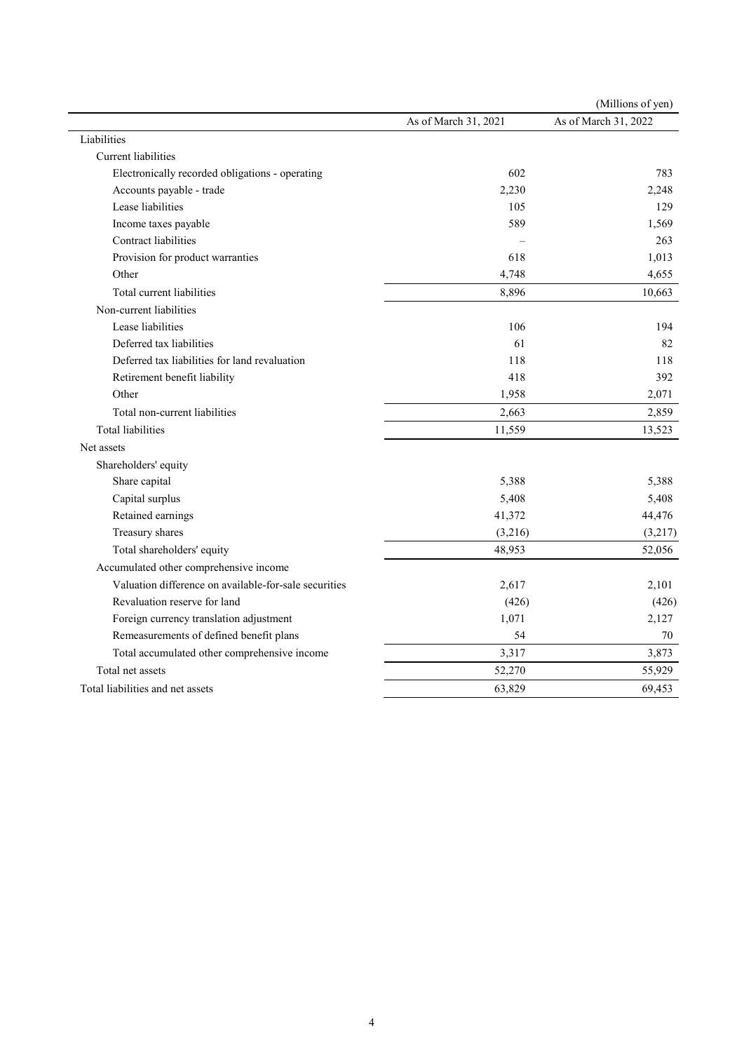|                                                       |                      | (Millions of yen)    |
|-------------------------------------------------------|----------------------|----------------------|
|                                                       | As of March 31, 2021 | As of March 31, 2022 |
| Liabilities                                           |                      |                      |
| <b>Current</b> liabilities                            |                      |                      |
| Electronically recorded obligations - operating       | 602                  | 783                  |
| Accounts payable - trade                              | 2,230                | 2,248                |
| Lease liabilities                                     | 105                  | 129                  |
| Income taxes payable                                  | 589                  | 1,569                |
| Contract liabilities                                  |                      | 263                  |
| Provision for product warranties                      | 618                  | 1,013                |
| Other                                                 | 4,748                | 4,655                |
| Total current liabilities                             | 8,896                | 10,663               |
| Non-current liabilities                               |                      |                      |
| Lease liabilities                                     | 106                  | 194                  |
| Deferred tax liabilities                              | 61                   | 82                   |
| Deferred tax liabilities for land revaluation         | 118                  | 118                  |
| Retirement benefit liability                          | 418                  | 392                  |
| Other                                                 | 1,958                | 2,071                |
| Total non-current liabilities                         | 2,663                | 2,859                |
| <b>Total liabilities</b>                              | 11,559               | 13,523               |
| Net assets                                            |                      |                      |
| Shareholders' equity                                  |                      |                      |
| Share capital                                         | 5,388                | 5,388                |
| Capital surplus                                       | 5,408                | 5,408                |
| Retained earnings                                     | 41,372               | 44,476               |
| Treasury shares                                       | (3,216)              | (3,217)              |
| Total shareholders' equity                            | 48,953               | 52,056               |
| Accumulated other comprehensive income                |                      |                      |
| Valuation difference on available-for-sale securities | 2,617                | 2,101                |
| Revaluation reserve for land                          | (426)                | (426)                |
| Foreign currency translation adjustment               | 1,071                | 2,127                |
| Remeasurements of defined benefit plans               | 54                   | 70                   |
| Total accumulated other comprehensive income          | 3,317                | 3,873                |
| Total net assets                                      | 52,270               | 55,929               |
| Total liabilities and net assets                      | 63,829               | 69,453               |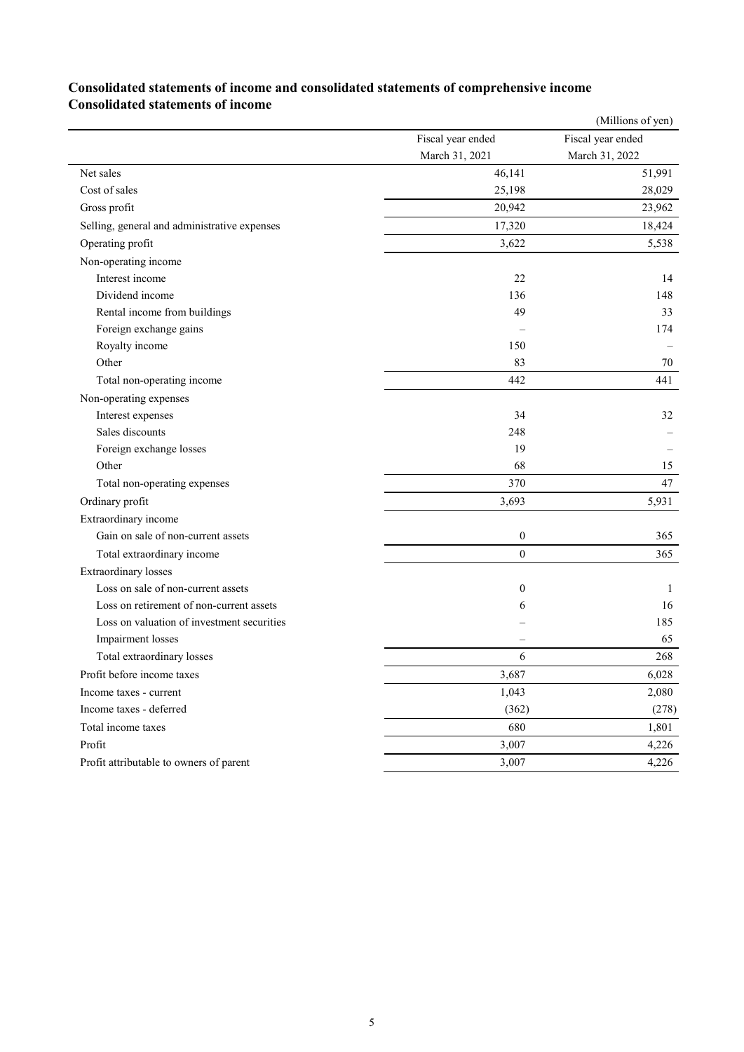## **Consolidated statements of income and consolidated statements of comprehensive income Consolidated statements of income**

| Fiscal year ended<br>Fiscal year ended<br>March 31, 2021<br>March 31, 2022<br>51,991<br>Net sales<br>46,141<br>Cost of sales<br>25,198<br>28,029<br>20,942<br>23,962<br>Gross profit<br>17,320<br>18,424<br>Selling, general and administrative expenses<br>Operating profit<br>3,622<br>5,538<br>Non-operating income<br>Interest income<br>22<br>14<br>Dividend income<br>136<br>148<br>Rental income from buildings<br>49<br>33<br>Foreign exchange gains<br>174<br>Royalty income<br>150<br>83<br>Other<br>70<br>Total non-operating income<br>442<br>441<br>Non-operating expenses<br>Interest expenses<br>34<br>32<br>Sales discounts<br>248<br>Foreign exchange losses<br>19<br>Other<br>68<br>15<br>370<br>47<br>Total non-operating expenses<br>5,931<br>Ordinary profit<br>3,693<br>Extraordinary income<br>Gain on sale of non-current assets<br>$\boldsymbol{0}$<br>365<br>$\theta$<br>Total extraordinary income<br>365<br><b>Extraordinary losses</b><br>Loss on sale of non-current assets<br>$\boldsymbol{0}$<br>1<br>Loss on retirement of non-current assets<br>16<br>6<br>Loss on valuation of investment securities<br>185<br>65<br>Impairment losses<br>6<br>Total extraordinary losses<br>268<br>Profit before income taxes<br>3,687<br>6,028<br>1,043<br>2,080<br>Income taxes - current<br>(278)<br>Income taxes - deferred<br>(362)<br>680<br>1,801<br>Total income taxes<br>3,007<br>Profit<br>4,226<br>3,007<br>4,226<br>Profit attributable to owners of parent |  | (Millions of yen) |
|---------------------------------------------------------------------------------------------------------------------------------------------------------------------------------------------------------------------------------------------------------------------------------------------------------------------------------------------------------------------------------------------------------------------------------------------------------------------------------------------------------------------------------------------------------------------------------------------------------------------------------------------------------------------------------------------------------------------------------------------------------------------------------------------------------------------------------------------------------------------------------------------------------------------------------------------------------------------------------------------------------------------------------------------------------------------------------------------------------------------------------------------------------------------------------------------------------------------------------------------------------------------------------------------------------------------------------------------------------------------------------------------------------------------------------------------------------------------------------------------|--|-------------------|
|                                                                                                                                                                                                                                                                                                                                                                                                                                                                                                                                                                                                                                                                                                                                                                                                                                                                                                                                                                                                                                                                                                                                                                                                                                                                                                                                                                                                                                                                                             |  |                   |
|                                                                                                                                                                                                                                                                                                                                                                                                                                                                                                                                                                                                                                                                                                                                                                                                                                                                                                                                                                                                                                                                                                                                                                                                                                                                                                                                                                                                                                                                                             |  |                   |
|                                                                                                                                                                                                                                                                                                                                                                                                                                                                                                                                                                                                                                                                                                                                                                                                                                                                                                                                                                                                                                                                                                                                                                                                                                                                                                                                                                                                                                                                                             |  |                   |
|                                                                                                                                                                                                                                                                                                                                                                                                                                                                                                                                                                                                                                                                                                                                                                                                                                                                                                                                                                                                                                                                                                                                                                                                                                                                                                                                                                                                                                                                                             |  |                   |
|                                                                                                                                                                                                                                                                                                                                                                                                                                                                                                                                                                                                                                                                                                                                                                                                                                                                                                                                                                                                                                                                                                                                                                                                                                                                                                                                                                                                                                                                                             |  |                   |
|                                                                                                                                                                                                                                                                                                                                                                                                                                                                                                                                                                                                                                                                                                                                                                                                                                                                                                                                                                                                                                                                                                                                                                                                                                                                                                                                                                                                                                                                                             |  |                   |
|                                                                                                                                                                                                                                                                                                                                                                                                                                                                                                                                                                                                                                                                                                                                                                                                                                                                                                                                                                                                                                                                                                                                                                                                                                                                                                                                                                                                                                                                                             |  |                   |
|                                                                                                                                                                                                                                                                                                                                                                                                                                                                                                                                                                                                                                                                                                                                                                                                                                                                                                                                                                                                                                                                                                                                                                                                                                                                                                                                                                                                                                                                                             |  |                   |
|                                                                                                                                                                                                                                                                                                                                                                                                                                                                                                                                                                                                                                                                                                                                                                                                                                                                                                                                                                                                                                                                                                                                                                                                                                                                                                                                                                                                                                                                                             |  |                   |
|                                                                                                                                                                                                                                                                                                                                                                                                                                                                                                                                                                                                                                                                                                                                                                                                                                                                                                                                                                                                                                                                                                                                                                                                                                                                                                                                                                                                                                                                                             |  |                   |
|                                                                                                                                                                                                                                                                                                                                                                                                                                                                                                                                                                                                                                                                                                                                                                                                                                                                                                                                                                                                                                                                                                                                                                                                                                                                                                                                                                                                                                                                                             |  |                   |
|                                                                                                                                                                                                                                                                                                                                                                                                                                                                                                                                                                                                                                                                                                                                                                                                                                                                                                                                                                                                                                                                                                                                                                                                                                                                                                                                                                                                                                                                                             |  |                   |
|                                                                                                                                                                                                                                                                                                                                                                                                                                                                                                                                                                                                                                                                                                                                                                                                                                                                                                                                                                                                                                                                                                                                                                                                                                                                                                                                                                                                                                                                                             |  |                   |
|                                                                                                                                                                                                                                                                                                                                                                                                                                                                                                                                                                                                                                                                                                                                                                                                                                                                                                                                                                                                                                                                                                                                                                                                                                                                                                                                                                                                                                                                                             |  |                   |
|                                                                                                                                                                                                                                                                                                                                                                                                                                                                                                                                                                                                                                                                                                                                                                                                                                                                                                                                                                                                                                                                                                                                                                                                                                                                                                                                                                                                                                                                                             |  |                   |
|                                                                                                                                                                                                                                                                                                                                                                                                                                                                                                                                                                                                                                                                                                                                                                                                                                                                                                                                                                                                                                                                                                                                                                                                                                                                                                                                                                                                                                                                                             |  |                   |
|                                                                                                                                                                                                                                                                                                                                                                                                                                                                                                                                                                                                                                                                                                                                                                                                                                                                                                                                                                                                                                                                                                                                                                                                                                                                                                                                                                                                                                                                                             |  |                   |
|                                                                                                                                                                                                                                                                                                                                                                                                                                                                                                                                                                                                                                                                                                                                                                                                                                                                                                                                                                                                                                                                                                                                                                                                                                                                                                                                                                                                                                                                                             |  |                   |
|                                                                                                                                                                                                                                                                                                                                                                                                                                                                                                                                                                                                                                                                                                                                                                                                                                                                                                                                                                                                                                                                                                                                                                                                                                                                                                                                                                                                                                                                                             |  |                   |
|                                                                                                                                                                                                                                                                                                                                                                                                                                                                                                                                                                                                                                                                                                                                                                                                                                                                                                                                                                                                                                                                                                                                                                                                                                                                                                                                                                                                                                                                                             |  |                   |
|                                                                                                                                                                                                                                                                                                                                                                                                                                                                                                                                                                                                                                                                                                                                                                                                                                                                                                                                                                                                                                                                                                                                                                                                                                                                                                                                                                                                                                                                                             |  |                   |
|                                                                                                                                                                                                                                                                                                                                                                                                                                                                                                                                                                                                                                                                                                                                                                                                                                                                                                                                                                                                                                                                                                                                                                                                                                                                                                                                                                                                                                                                                             |  |                   |
|                                                                                                                                                                                                                                                                                                                                                                                                                                                                                                                                                                                                                                                                                                                                                                                                                                                                                                                                                                                                                                                                                                                                                                                                                                                                                                                                                                                                                                                                                             |  |                   |
|                                                                                                                                                                                                                                                                                                                                                                                                                                                                                                                                                                                                                                                                                                                                                                                                                                                                                                                                                                                                                                                                                                                                                                                                                                                                                                                                                                                                                                                                                             |  |                   |
|                                                                                                                                                                                                                                                                                                                                                                                                                                                                                                                                                                                                                                                                                                                                                                                                                                                                                                                                                                                                                                                                                                                                                                                                                                                                                                                                                                                                                                                                                             |  |                   |
|                                                                                                                                                                                                                                                                                                                                                                                                                                                                                                                                                                                                                                                                                                                                                                                                                                                                                                                                                                                                                                                                                                                                                                                                                                                                                                                                                                                                                                                                                             |  |                   |
|                                                                                                                                                                                                                                                                                                                                                                                                                                                                                                                                                                                                                                                                                                                                                                                                                                                                                                                                                                                                                                                                                                                                                                                                                                                                                                                                                                                                                                                                                             |  |                   |
|                                                                                                                                                                                                                                                                                                                                                                                                                                                                                                                                                                                                                                                                                                                                                                                                                                                                                                                                                                                                                                                                                                                                                                                                                                                                                                                                                                                                                                                                                             |  |                   |
|                                                                                                                                                                                                                                                                                                                                                                                                                                                                                                                                                                                                                                                                                                                                                                                                                                                                                                                                                                                                                                                                                                                                                                                                                                                                                                                                                                                                                                                                                             |  |                   |
|                                                                                                                                                                                                                                                                                                                                                                                                                                                                                                                                                                                                                                                                                                                                                                                                                                                                                                                                                                                                                                                                                                                                                                                                                                                                                                                                                                                                                                                                                             |  |                   |
|                                                                                                                                                                                                                                                                                                                                                                                                                                                                                                                                                                                                                                                                                                                                                                                                                                                                                                                                                                                                                                                                                                                                                                                                                                                                                                                                                                                                                                                                                             |  |                   |
|                                                                                                                                                                                                                                                                                                                                                                                                                                                                                                                                                                                                                                                                                                                                                                                                                                                                                                                                                                                                                                                                                                                                                                                                                                                                                                                                                                                                                                                                                             |  |                   |
|                                                                                                                                                                                                                                                                                                                                                                                                                                                                                                                                                                                                                                                                                                                                                                                                                                                                                                                                                                                                                                                                                                                                                                                                                                                                                                                                                                                                                                                                                             |  |                   |
|                                                                                                                                                                                                                                                                                                                                                                                                                                                                                                                                                                                                                                                                                                                                                                                                                                                                                                                                                                                                                                                                                                                                                                                                                                                                                                                                                                                                                                                                                             |  |                   |
|                                                                                                                                                                                                                                                                                                                                                                                                                                                                                                                                                                                                                                                                                                                                                                                                                                                                                                                                                                                                                                                                                                                                                                                                                                                                                                                                                                                                                                                                                             |  |                   |
|                                                                                                                                                                                                                                                                                                                                                                                                                                                                                                                                                                                                                                                                                                                                                                                                                                                                                                                                                                                                                                                                                                                                                                                                                                                                                                                                                                                                                                                                                             |  |                   |
|                                                                                                                                                                                                                                                                                                                                                                                                                                                                                                                                                                                                                                                                                                                                                                                                                                                                                                                                                                                                                                                                                                                                                                                                                                                                                                                                                                                                                                                                                             |  |                   |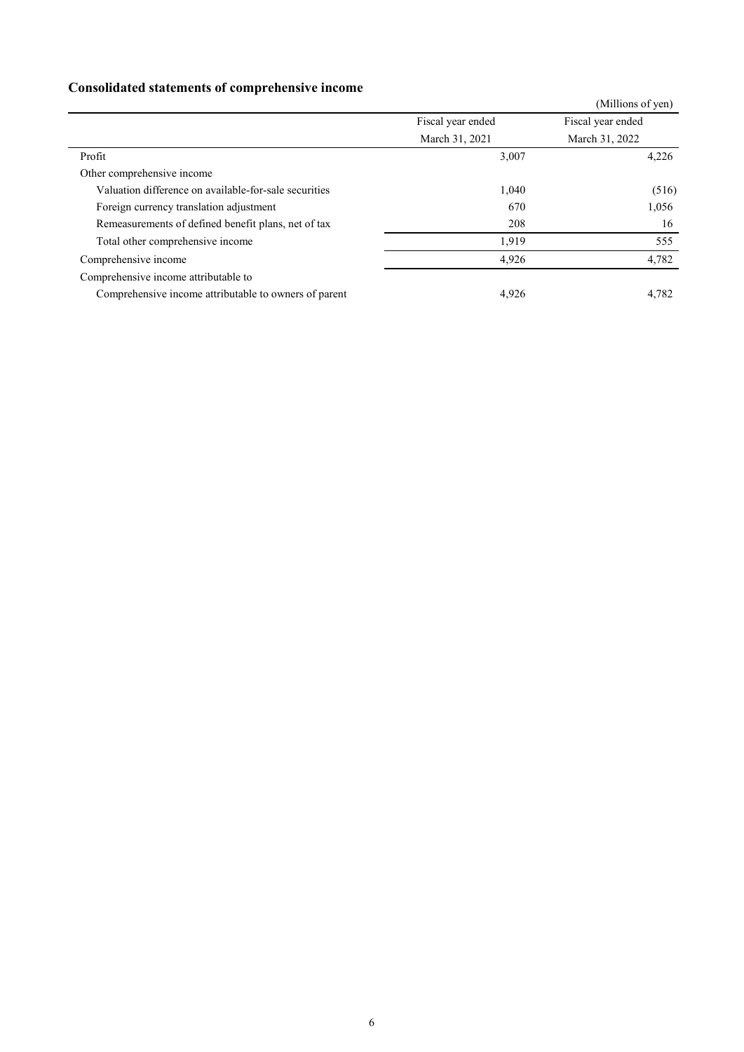## **Consolidated statements of comprehensive income**

|                                                       |                   | (Millions of yen) |
|-------------------------------------------------------|-------------------|-------------------|
|                                                       | Fiscal year ended | Fiscal year ended |
|                                                       | March 31, 2021    | March 31, 2022    |
| Profit                                                | 3,007             | 4,226             |
| Other comprehensive income                            |                   |                   |
| Valuation difference on available-for-sale securities | 1,040             | (516)             |
| Foreign currency translation adjustment               | 670               | 1,056             |
| Remeasurements of defined benefit plans, net of tax   | 208               | 16                |
| Total other comprehensive income                      | 1,919             | 555               |
| Comprehensive income                                  | 4,926             | 4,782             |
| Comprehensive income attributable to                  |                   |                   |
| Comprehensive income attributable to owners of parent | 4,926             | 4,782             |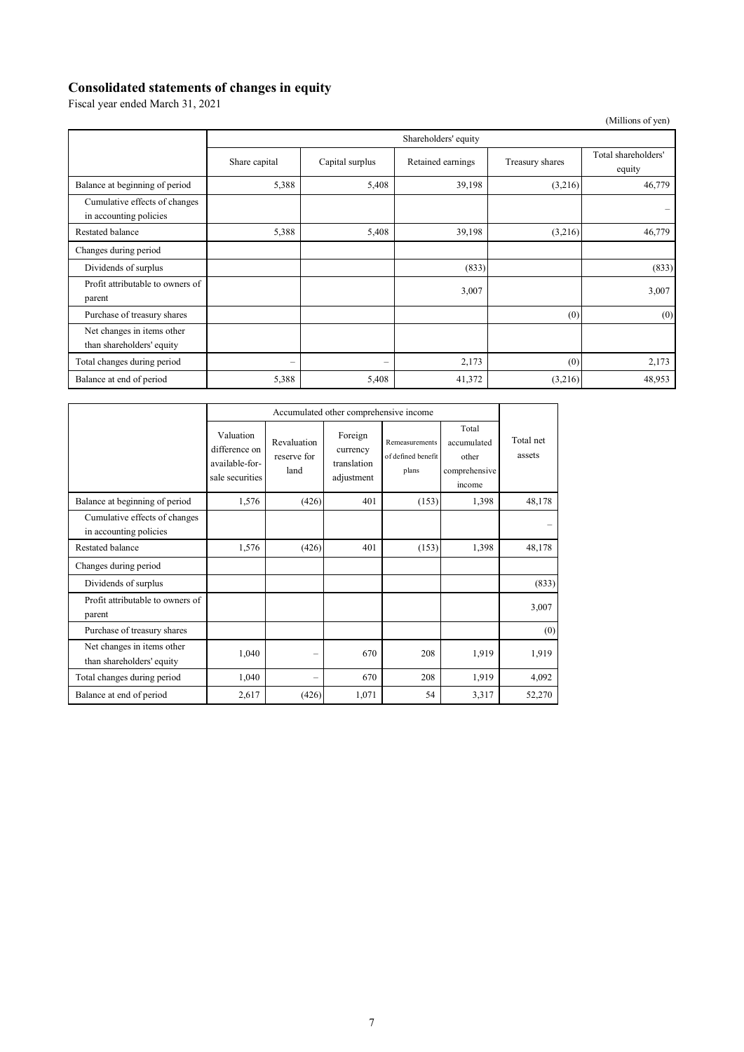# **Consolidated statements of changes in equity**

Fiscal year ended March 31, 2021

 (Millions of yen) Shareholders' equity Share capital Capital surplus Retained earnings Treasury shares Total shareholders' equity Balance at beginning of period 5,388 5,408 5,408 39,198 (3,216) 46,779 Cumulative effects of changes Formulative criteris of changes<br>in accounting policies Restated balance **5,388** 5,408 39,198 (3,216) 46,779 Changes during period Dividends of surplus (833) (833) (833) (833) Profit attributable to owners of  $\frac{3,007}{2}$  3,007 Purchase of treasury shares  $(0)$  (0) Net changes in items other than shareholders' equity Total changes during period  $2,173$  (0) 2,173 Balance at end of period 5,388 5,408 5,408 41,372 (3,216) 48,953

|                                                         | Accumulated other comprehensive income                          |                                    |                                                  |                                               |                                                          |                     |
|---------------------------------------------------------|-----------------------------------------------------------------|------------------------------------|--------------------------------------------------|-----------------------------------------------|----------------------------------------------------------|---------------------|
|                                                         | Valuation<br>difference on<br>available-for-<br>sale securities | Revaluation<br>reserve for<br>land | Foreign<br>currency<br>translation<br>adjustment | Remeasurements<br>of defined benefit<br>plans | Total<br>accumulated<br>other<br>comprehensive<br>income | Total net<br>assets |
| Balance at beginning of period                          | 1,576                                                           | (426)                              | 401                                              | (153)                                         | 1,398                                                    | 48,178              |
| Cumulative effects of changes<br>in accounting policies |                                                                 |                                    |                                                  |                                               |                                                          |                     |
| <b>Restated balance</b>                                 | 1,576                                                           | (426)                              | 401                                              | (153)                                         | 1,398                                                    | 48,178              |
| Changes during period                                   |                                                                 |                                    |                                                  |                                               |                                                          |                     |
| Dividends of surplus                                    |                                                                 |                                    |                                                  |                                               |                                                          | (833)               |
| Profit attributable to owners of<br>parent              |                                                                 |                                    |                                                  |                                               |                                                          | 3,007               |
| Purchase of treasury shares                             |                                                                 |                                    |                                                  |                                               |                                                          | (0)                 |
| Net changes in items other<br>than shareholders' equity | 1,040                                                           | -                                  | 670                                              | 208                                           | 1,919                                                    | 1,919               |
| Total changes during period                             | 1,040                                                           |                                    | 670                                              | 208                                           | 1,919                                                    | 4,092               |
| Balance at end of period                                | 2,617                                                           | (426)                              | 1,071                                            | 54                                            | 3,317                                                    | 52,270              |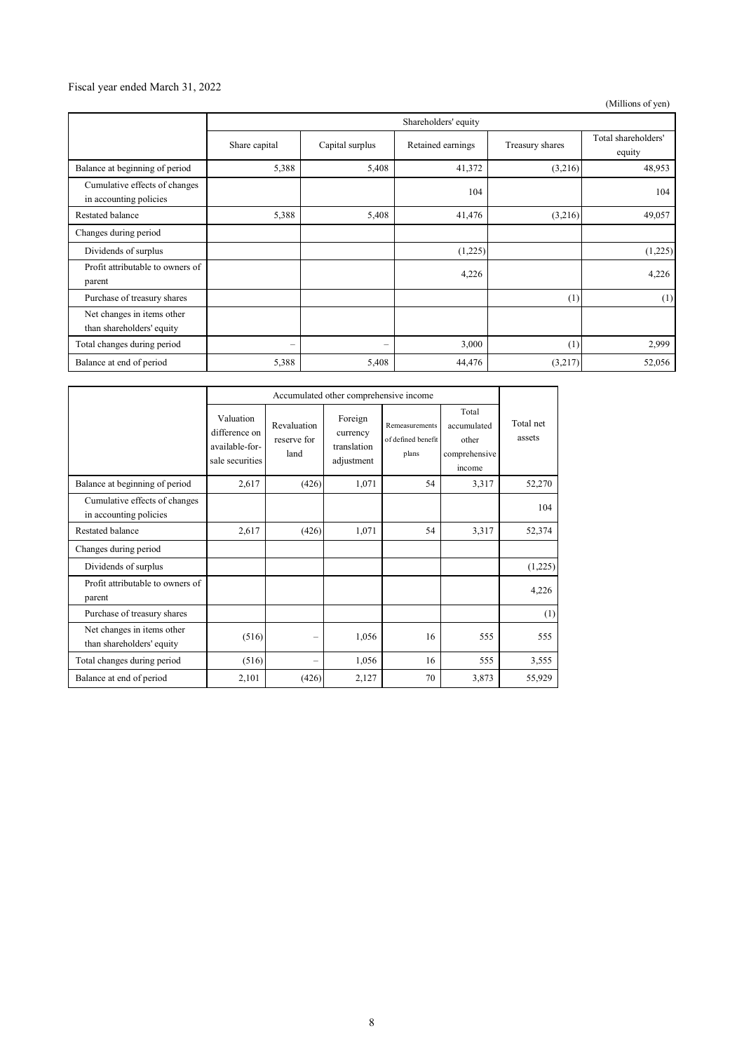### Fiscal year ended March 31, 2022

(Millions of yen)

|                                                         | Shareholders' equity |                          |                   |                 |                               |
|---------------------------------------------------------|----------------------|--------------------------|-------------------|-----------------|-------------------------------|
|                                                         | Share capital        | Capital surplus          | Retained earnings | Treasury shares | Total shareholders'<br>equity |
| Balance at beginning of period                          | 5,388                | 5,408                    | 41,372            | (3,216)         | 48,953                        |
| Cumulative effects of changes<br>in accounting policies |                      |                          | 104               |                 | 104                           |
| Restated balance                                        | 5,388                | 5,408                    | 41,476            | (3,216)         | 49,057                        |
| Changes during period                                   |                      |                          |                   |                 |                               |
| Dividends of surplus                                    |                      |                          | (1,225)           |                 | (1,225)                       |
| Profit attributable to owners of<br>parent              |                      |                          | 4,226             |                 | 4,226                         |
| Purchase of treasury shares                             |                      |                          |                   | (1)             | (1)                           |
| Net changes in items other<br>than shareholders' equity |                      |                          |                   |                 |                               |
| Total changes during period                             | -                    | $\overline{\phantom{0}}$ | 3,000             | (1)             | 2,999                         |
| Balance at end of period                                | 5,388                | 5,408                    | 44,476            | (3,217)         | 52,056                        |

|                                                         | Accumulated other comprehensive income                          |                                    |                                                  |                                               |                                                          |                     |
|---------------------------------------------------------|-----------------------------------------------------------------|------------------------------------|--------------------------------------------------|-----------------------------------------------|----------------------------------------------------------|---------------------|
|                                                         | Valuation<br>difference on<br>available-for-<br>sale securities | Revaluation<br>reserve for<br>land | Foreign<br>currency<br>translation<br>adjustment | Remeasurements<br>of defined benefit<br>plans | Total<br>accumulated<br>other<br>comprehensive<br>income | Total net<br>assets |
| Balance at beginning of period                          | 2,617                                                           | (426)                              | 1,071                                            | 54                                            | 3,317                                                    | 52,270              |
| Cumulative effects of changes<br>in accounting policies |                                                                 |                                    |                                                  |                                               |                                                          | 104                 |
| <b>Restated balance</b>                                 | 2,617                                                           | (426)                              | 1,071                                            | 54                                            | 3,317                                                    | 52,374              |
| Changes during period                                   |                                                                 |                                    |                                                  |                                               |                                                          |                     |
| Dividends of surplus                                    |                                                                 |                                    |                                                  |                                               |                                                          | (1,225)             |
| Profit attributable to owners of<br>parent              |                                                                 |                                    |                                                  |                                               |                                                          | 4,226               |
| Purchase of treasury shares                             |                                                                 |                                    |                                                  |                                               |                                                          | (1)                 |
| Net changes in items other<br>than shareholders' equity | (516)                                                           |                                    | 1,056                                            | 16                                            | 555                                                      | 555                 |
| Total changes during period                             | (516)                                                           |                                    | 1,056                                            | 16                                            | 555                                                      | 3,555               |
| Balance at end of period                                | 2,101                                                           | (426)                              | 2,127                                            | 70                                            | 3,873                                                    | 55,929              |